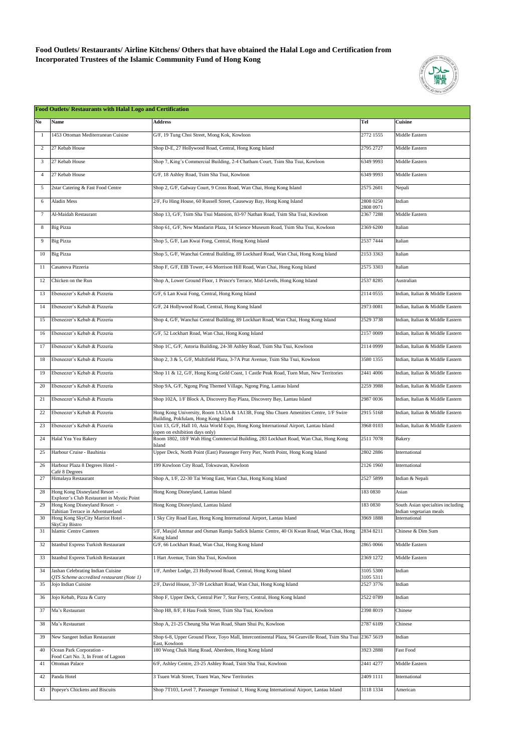**Food Outlets/ Restaurants/ Airline Kitchens/ Others that have obtained the Halal Logo and Certification from Incorporated Trustees of the Islamic Community Fund of Hong Kong**



| <b>Food Outlets/ Restaurants with Halal Logo and Certification</b> |                                                                                |                                                                                                                              |                        |                                                              |  |  |
|--------------------------------------------------------------------|--------------------------------------------------------------------------------|------------------------------------------------------------------------------------------------------------------------------|------------------------|--------------------------------------------------------------|--|--|
| No                                                                 | <b>Name</b>                                                                    | <b>Address</b>                                                                                                               | <b>Tel</b>             | <b>Cuisine</b>                                               |  |  |
|                                                                    | 1453 Ottoman Mediterranean Cuisine                                             | G/F, 19 Tung Choi Street, Mong Kok, Kowloon                                                                                  | 2772 1555              | Middle Eastern                                               |  |  |
| $\overline{c}$                                                     | 27 Kebab House                                                                 | Shop D-E, 27 Hollywood Road, Central, Hong Kong Island                                                                       | 2795 2727              | Middle Eastern                                               |  |  |
| 3                                                                  | 27 Kebab House                                                                 | Shop 7, King's Commercial Building, 2-4 Chatham Court, Tsim Sha Tsui, Kowloon                                                | 6349 9993              | Middle Eastern                                               |  |  |
| 4                                                                  | 27 Kebab House                                                                 | G/F, 18 Ashley Road, Tsim Sha Tsui, Kowloon                                                                                  | 6349 9993              | Middle Eastern                                               |  |  |
| 5                                                                  | 2star Catering & Fast Food Centre                                              | Shop 2, G/F, Galway Court, 9 Cross Road, Wan Chai, Hong Kong Island                                                          | 2575 2601              | Nepali                                                       |  |  |
| 6                                                                  | Aladin Mess                                                                    | 2/F, Fu Hing House, 60 Russell Street, Causeway Bay, Hong Kong Island                                                        | 2808 0250              | Indian                                                       |  |  |
| 7                                                                  | Al-Maidah Restaurant                                                           | Shop 13, G/F, Tsim Sha Tsui Mansion, 83-97 Nathan Road, Tsim Sha Tsui, Kowloon                                               | 2808 0971<br>23677288  | Middle Eastern                                               |  |  |
| 8                                                                  | <b>Big Pizza</b>                                                               | Shop 61, G/F, New Mandarin Plaza, 14 Science Museum Road, Tsim Sha Tsui, Kowloon                                             | 2369 6200              | Italian                                                      |  |  |
| 9                                                                  | <b>Big Pizza</b>                                                               | Shop 5, G/F, Lan Kwai Fong, Central, Hong Kong Island                                                                        | 2537 7444              | Italian                                                      |  |  |
| 10                                                                 | <b>Big Pizza</b>                                                               | Shop 5, G/F, Wanchai Central Building, 89 Lockhard Road, Wan Chai, Hong Kong Island                                          | 2153 3363              | Italian                                                      |  |  |
| 11                                                                 | Casanova Pizzeria                                                              | Shop F, G/F, EIB Tower, 4-6 Morrison Hill Road, Wan Chai, Hong Kong Island                                                   | 2575 3303              | Italian                                                      |  |  |
| 12                                                                 | Chicken on the Run                                                             | Shop A, Lower Ground Floor, 1 Prince's Terrace, Mid-Levels, Hong Kong Island                                                 | 25378285               | Australian                                                   |  |  |
| 13                                                                 | Ebeneezer's Kebab & Pizzeria                                                   | G/F, 6 Lan Kwai Fong, Central, Hong Kong Island                                                                              | 2114 0555              | Indian, Italian & Middle Eastern                             |  |  |
| 14                                                                 | Ebeneezer's Kebab & Pizzeria                                                   | G/F, 24 Hollywood Road, Central, Hong Kong Island                                                                            | 2973 0081              | Indian, Italian & Middle Eastern                             |  |  |
| 15                                                                 | Ebeneezer's Kebab & Pizzeria                                                   | Shop 4, G/F, Wanchai Central Building, 89 Lockhart Road, Wan Chai, Hong Kong Island                                          | 2529 3738              | Indian, Italian & Middle Eastern                             |  |  |
| 16                                                                 | Ebeneezer's Kebab & Pizzeria                                                   | G/F, 52 Lockhart Road, Wan Chai, Hong Kong Island                                                                            | 2157 0009              | Indian, Italian & Middle Eastern                             |  |  |
| 17                                                                 | Ebeneezer's Kebab & Pizzeria                                                   | Shop 1C, G/F, Astoria Building, 24-38 Ashley Road, Tsim Sha Tsui, Kowloon                                                    | 2114 0999              | Indian, Italian & Middle Eastern                             |  |  |
| 18                                                                 | Ebeneezer's Kebab & Pizzeria                                                   | Shop 2, 3 & 5, G/F, Multifield Plaza, 3-7A Prat Avenue, Tsim Sha Tsui, Kowloon                                               | 3580 1355              | Indian, Italian & Middle Eastern                             |  |  |
| 19                                                                 | Ebeneezer's Kebab & Pizzeria                                                   | Shop 11 & 12, G/F, Hong Kong Gold Coast, 1 Castle Peak Road, Tuen Mun, New Territories                                       | 2441 4006              | Indian, Italian & Middle Eastern                             |  |  |
|                                                                    | 20 Ebeneezer's Kebab & Pizzeria                                                | Shop 9A, G/F, Ngong Ping Themed Village, Ngong Ping, Lantau Island                                                           | 2259 3988              | Indian. Italian & Middle Eastern                             |  |  |
| 21                                                                 | Ebeneezer's Kebab & Pizzeria                                                   | Shop 102A, 1/F Block A, Discovery Bay Plaza, Discovery Bay, Lantau Island                                                    | 2987 0036              | Indian, Italian & Middle Eastern                             |  |  |
| 22                                                                 | Ebeneezer's Kebab & Pizzeria                                                   | Hong Kong University, Room 1A13A & 1A13B, Fong Shu Chuen Amenities Centre, 1/F Swire<br>Building, Pokfulam, Hong Kong Island | 2915 5168              | Indian, Italian & Middle Eastern                             |  |  |
| 23                                                                 | Ebeneezer's Kebab & Pizzeria                                                   | Unit 13, G/F, Hall 10, Asia World Expo, Hong Kong International Airport, Lantau Island<br>(open on exhibition days only)     | 3968 0103              | Indian, Italian & Middle Eastern                             |  |  |
| 24                                                                 | Halal Yea Yea Bakery                                                           | Room 1802, 18/F Wah Hing Commercial Building, 283 Lockhart Road, Wan Chai, Hong Kong<br>Island                               | 2511 7078              | <b>Bakery</b>                                                |  |  |
| 25                                                                 | Harbour Cruise - Bauhinia                                                      | Upper Deck, North Point (East) Passenger Ferry Pier, North Point, Hong Kong Island                                           | 2802 2886              | International                                                |  |  |
| 26                                                                 | Harbour Plaza 8 Degrees Hotel -<br>Café 8 Degrees                              | 199 Kowloon City Road, Tokwawan, Kowloon                                                                                     | 2126 1960              | International                                                |  |  |
| 27                                                                 | Himalaya Restaurant                                                            | Shop A, 1/F, 22-30 Tai Wong East, Wan Chai, Hong Kong Island                                                                 | 2527 5899              | Indian & Nepali                                              |  |  |
| 28                                                                 | Hong Kong Disneyland Resort -<br>Explorer's Club Restaurant in Mystic Point    | Hong Kong Disneyland, Lantau Island                                                                                          | 183 0830               | Asian                                                        |  |  |
| 29                                                                 | Hong Kong Disneyland Resort -<br>Tahitian Terrace in Adventureland             | Hong Kong Disneyland, Lantau Island                                                                                          | 183 0830               | South Asian specialties including<br>Indian vegetarian meals |  |  |
| 30                                                                 | Hong Kong SkyCity Marriot Hotel -<br><b>SkyCity Bistro</b>                     | 1 Sky City Road East, Hong Kong International Airport, Lantau Island                                                         | 3969 1888              | International                                                |  |  |
| 31                                                                 | Islamic Centre Canteen                                                         | 5/F, Masjid Ammar and Osman Ramju Sadick Islamic Centre, 40 Oi Kwan Road, Wan Chai, Hong<br>Kong Island                      | 2834 8211              | Chinese & Dim Sum                                            |  |  |
| 32                                                                 | Istanbul Express Turkish Restaurant                                            | G/F, 66 Lockhart Road, Wan Chai, Hong Kong Island                                                                            | 2865 0066              | Middle Eastern                                               |  |  |
| 33                                                                 | Istanbul Express Turkish Restaurant                                            | 1 Hart Avenue, Tsim Sha Tsui, Kowloon                                                                                        | 2369 1272              | Middle Eastern                                               |  |  |
| 34                                                                 | Jashan Celebrating Indian Cuisine<br>QTS Scheme accredited restaurant (Note 1) | 1/F, Amber Lodge, 23 Hollywood Road, Central, Hong Kong Island                                                               | 3105 5300<br>3105 5311 | Indian                                                       |  |  |
| 35                                                                 | Jojo Indian Cuisine                                                            | 2/F, David House, 37-39 Lockhart Road, Wan Chai, Hong Kong Island                                                            | 2527 3776              | Indian                                                       |  |  |
| 36                                                                 | Jojo Kebab, Pizza & Curry                                                      | Shop F, Upper Deck, Central Pier 7, Star Ferry, Central, Hong Kong Island                                                    | 2522 0789              | Indian                                                       |  |  |
| 37                                                                 | Ma's Restaurant                                                                | Shop H8, 8/F, 8 Hau Fook Street, Tsim Sha Tsui, Kowloon                                                                      | 2398 8019              | Chinese                                                      |  |  |
| 38                                                                 | Ma's Restaurant                                                                | Shop A, 21-25 Cheung Sha Wan Road, Sham Shui Po, Kowloon                                                                     | 2787 6109              | Chinese                                                      |  |  |
| 39                                                                 | New Sangeet Indian Restaurant                                                  | Shop 6-8, Upper Ground Floor, Toyo Mall, Intercontinental Plaza, 94 Granville Road, Tsim Sha Tsui 2367 5619<br>East, Kowloon |                        | Indian                                                       |  |  |
| 40                                                                 | Ocean Park Corporation -<br>Food Cart No. 3, In Front of Lagoon                | 180 Wong Chuk Hang Road, Aberdeen, Hong Kong Island                                                                          | 3923 2888              | Fast Food                                                    |  |  |
| 41                                                                 | <b>Ottoman Palace</b>                                                          | 6/F, Ashley Centre, 23-25 Ashley Road, Tsim Sha Tsui, Kowloon                                                                | 2441 4277              | Middle Eastern                                               |  |  |
| 42                                                                 | Panda Hotel                                                                    | 3 Tsuen Wah Street, Tsuen Wan, New Territories                                                                               | 2409 1111              | International                                                |  |  |
| 43                                                                 | Popeye's Chickens and Biscuits                                                 | Shop 7T103, Level 7, Passenger Terminal 1, Hong Kong International Airport, Lantau Island                                    | 3118 1334              | American                                                     |  |  |